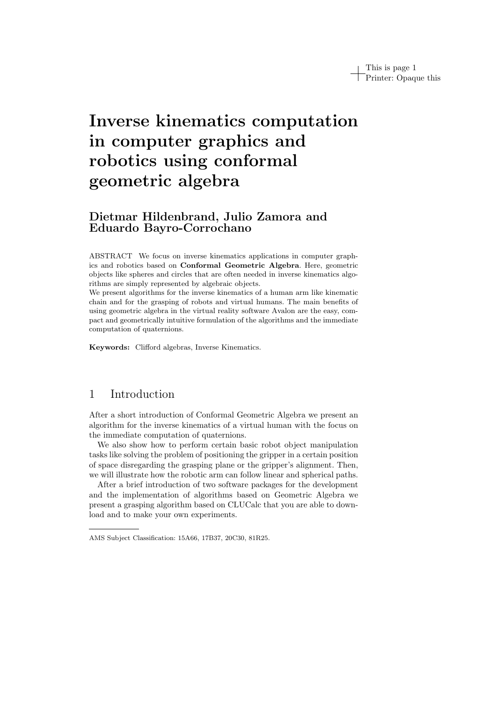# Inverse kinematics computation in computer graphics and robotics using conformal geometric algebra

### Dietmar Hildenbrand, Julio Zamora and Eduardo Bayro-Corrochano

ABSTRACT We focus on inverse kinematics applications in computer graphics and robotics based on Conformal Geometric Algebra. Here, geometric objects like spheres and circles that are often needed in inverse kinematics algorithms are simply represented by algebraic objects.

We present algorithms for the inverse kinematics of a human arm like kinematic chain and for the grasping of robots and virtual humans. The main benefits of using geometric algebra in the virtual reality software Avalon are the easy, compact and geometrically intuitive formulation of the algorithms and the immediate computation of quaternions.

Keywords: Clifford algebras, Inverse Kinematics.

### 1 Introduction

After a short introduction of Conformal Geometric Algebra we present an algorithm for the inverse kinematics of a virtual human with the focus on the immediate computation of quaternions.

We also show how to perform certain basic robot object manipulation tasks like solving the problem of positioning the gripper in a certain position of space disregarding the grasping plane or the gripper's alignment. Then, we will illustrate how the robotic arm can follow linear and spherical paths.

After a brief introduction of two software packages for the development and the implementation of algorithms based on Geometric Algebra we present a grasping algorithm based on CLUCalc that you are able to download and to make your own experiments.

AMS Subject Classification: 15A66, 17B37, 20C30, 81R25.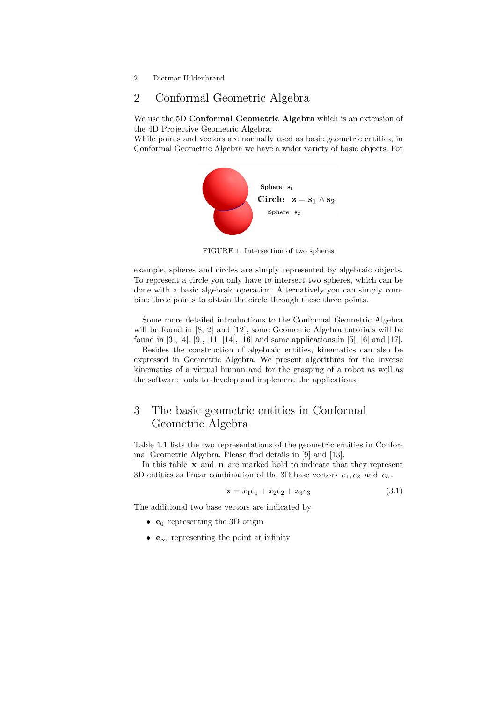# 2 Conformal Geometric Algebra

We use the 5D Conformal Geometric Algebra which is an extension of the 4D Projective Geometric Algebra.

While points and vectors are normally used as basic geometric entities, in Conformal Geometric Algebra we have a wider variety of basic objects. For



FIGURE 1. Intersection of two spheres

example, spheres and circles are simply represented by algebraic objects. To represent a circle you only have to intersect two spheres, which can be done with a basic algebraic operation. Alternatively you can simply combine three points to obtain the circle through these three points.

Some more detailed introductions to the Conformal Geometric Algebra will be found in [8, 2] and [12], some Geometric Algebra tutorials will be found in [3], [4], [9], [11] [14], [16] and some applications in [5], [6] and [17].

Besides the construction of algebraic entities, kinematics can also be expressed in Geometric Algebra. We present algorithms for the inverse kinematics of a virtual human and for the grasping of a robot as well as the software tools to develop and implement the applications.

### 3 The basic geometric entities in Conformal Geometric Algebra

Table 1.1 lists the two representations of the geometric entities in Conformal Geometric Algebra. Please find details in [9] and [13].

In this table  $x$  and  $n$  are marked bold to indicate that they represent 3D entities as linear combination of the 3D base vectors  $e_1, e_2$  and  $e_3$ .

$$
\mathbf{x} = x_1 e_1 + x_2 e_2 + x_3 e_3 \tag{3.1}
$$

The additional two base vectors are indicated by

- $e_0$  representing the 3D origin
- $e_{\infty}$  representing the point at infinity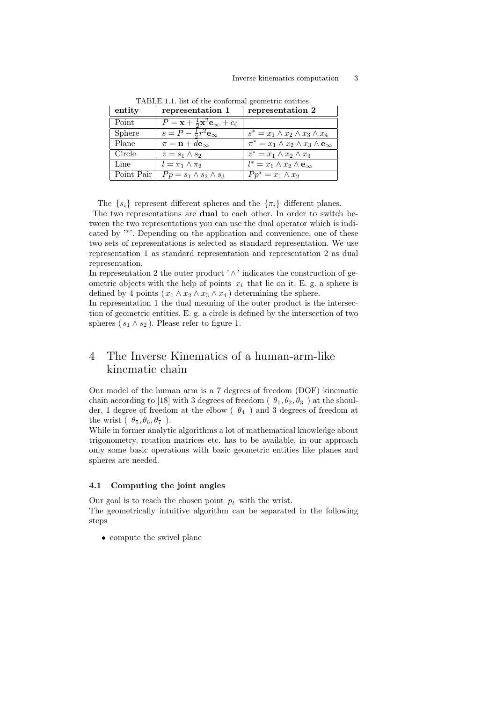| entity     | representation 1                                                    | representation 2                                               |
|------------|---------------------------------------------------------------------|----------------------------------------------------------------|
| Point      | $P = \mathbf{x} + \frac{1}{2}\mathbf{x}^2\mathbf{e}_{\infty} + e_0$ |                                                                |
| Sphere     | $s = P - \frac{1}{2}r^2$ $\mathbf{e}_{\infty}$                      | $s^* = x_1 \wedge x_2 \wedge x_3 \wedge x_4$                   |
| Plane      | $\pi = \mathbf{n} + d\mathbf{e}_{\infty}$                           | $\pi^* = x_1 \wedge x_2 \wedge x_3 \wedge \mathbf{e}_{\infty}$ |
| Circle     | $z = s_1 \wedge s_2$                                                | $z^* = x_1 \wedge x_2 \wedge x_3$                              |
| Line       | $l = \pi_1 \wedge \pi_2$                                            | $l^* = x_1 \wedge x_2 \wedge \mathbf{e}_{\infty}$              |
| Point Pair | $Pp = s_1 \wedge s_2 \wedge s_3$                                    | $Pp^* = x_1 \wedge x_2$                                        |

TABLE 1.1. list of the conformal geometric entities

The  $\{s_i\}$  represent different spheres and the  $\{\pi_i\}$  different planes.

The two representations are dual to each other. In order to switch between the two representations you can use the dual operator which is indicated by '\*'. Depending on the application and convenience, one of these two sets of representations is selected as standard representation. We use representation 1 as standard representation and representation 2 as dual representation.

In representation 2 the outer product  $\wedge$  indicates the construction of geometric objects with the help of points  $x_i$  that lie on it. E. g. a sphere is defined by 4 points  $(x_1 \wedge x_2 \wedge x_3 \wedge x_4)$  determining the sphere.

In representation 1 the dual meaning of the outer product is the intersection of geometric entities. E. g. a circle is defined by the intersection of two spheres ( $s_1 \wedge s_2$ ). Please refer to figure 1.

## 4 The Inverse Kinematics of a human-arm-like kinematic chain

Our model of the human arm is a 7 degrees of freedom (DOF) kinematic chain according to [18] with 3 degrees of freedom ( $\theta_1, \theta_2, \theta_3$ ) at the shoulder, 1 degree of freedom at the elbow ( $\theta_4$ ) and 3 degrees of freedom at the wrist  $(\theta_5, \theta_6, \theta_7)$ .

While in former analytic algorithms a lot of mathematical knowledge about trigonometry, rotation matrices etc. has to be available, in our approach only some basic operations with basic geometric entities like planes and spheres are needed.

### 4.1 Computing the joint angles

Our goal is to reach the chosen point  $p_t$  with the wrist. The geometrically intuitive algorithm can be separated in the following steps

• compute the swivel plane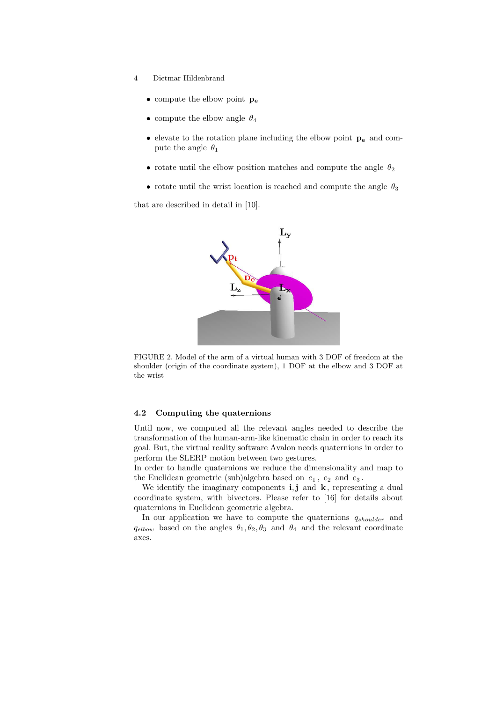- 4 Dietmar Hildenbrand
	- compute the elbow point  $p_e$
	- $\bullet\,$  compute the elbow angle  $\,\theta_4\,$
	- $\bullet\,$  elevate to the rotation plane including the elbow point  $\,{\bf p_{e}}\,$  and compute the angle  $\theta_1$
	- rotate until the elbow position matches and compute the angle  $\theta_2$
	- rotate until the wrist location is reached and compute the angle  $\theta_3$

that are described in detail in [10].



FIGURE 2. Model of the arm of a virtual human with 3 DOF of freedom at the shoulder (origin of the coordinate system), 1 DOF at the elbow and 3 DOF at the wrist

### 4.2 Computing the quaternions

Until now, we computed all the relevant angles needed to describe the transformation of the human-arm-like kinematic chain in order to reach its goal. But, the virtual reality software Avalon needs quaternions in order to perform the SLERP motion between two gestures.

In order to handle quaternions we reduce the dimensionality and map to the Euclidean geometric (sub)algebra based on  $e_1$ ,  $e_2$  and  $e_3$ .

We identify the imaginary components  $\mathbf{i}, \mathbf{j}$  and  $\mathbf{k}$ , representing a dual coordinate system, with bivectors. Please refer to [16] for details about quaternions in Euclidean geometric algebra.

In our application we have to compute the quaternions  $q_{shoulder}$  and  $q_{elbow}$  based on the angles  $\theta_1, \theta_2, \theta_3$  and  $\theta_4$  and the relevant coordinate axes.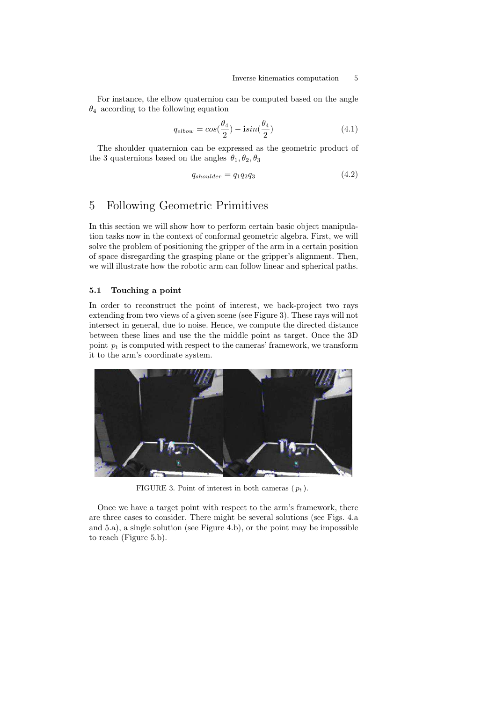For instance, the elbow quaternion can be computed based on the angle  $\theta_4$  according to the following equation

$$
q_{elbow} = \cos(\frac{\theta_4}{2}) - i\sin(\frac{\theta_4}{2})
$$
\n(4.1)

The shoulder quaternion can be expressed as the geometric product of the 3 quaternions based on the angles  $\theta_1, \theta_2, \theta_3$ 

$$
q_{shoulder} = q_1 q_2 q_3 \tag{4.2}
$$

### 5 Following Geometric Primitives

In this section we will show how to perform certain basic object manipulation tasks now in the context of conformal geometric algebra. First, we will solve the problem of positioning the gripper of the arm in a certain position of space disregarding the grasping plane or the gripper's alignment. Then, we will illustrate how the robotic arm can follow linear and spherical paths.

### 5.1 Touching a point

In order to reconstruct the point of interest, we back-project two rays extending from two views of a given scene (see Figure 3). These rays will not intersect in general, due to noise. Hence, we compute the directed distance between these lines and use the the middle point as target. Once the 3D point  $p_t$  is computed with respect to the cameras' framework, we transform it to the arm's coordinate system.



FIGURE 3. Point of interest in both cameras  $(p_t)$ .

Once we have a target point with respect to the arm's framework, there are three cases to consider. There might be several solutions (see Figs. 4.a and 5.a), a single solution (see Figure 4.b), or the point may be impossible to reach (Figure 5.b).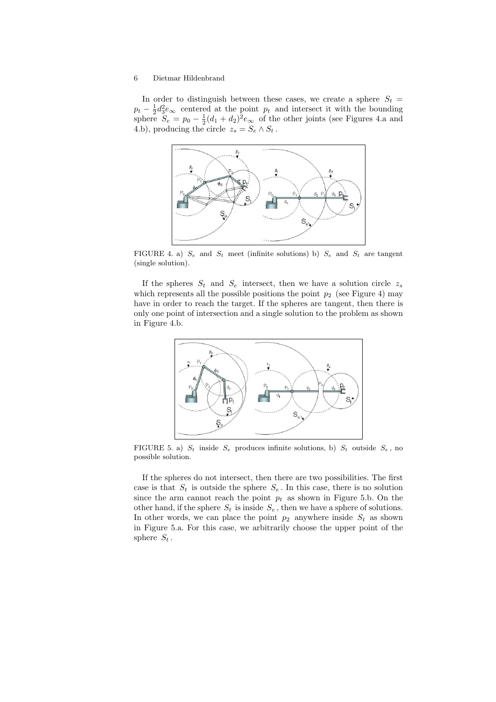In order to distinguish between these cases, we create a sphere  $S_t =$  $p_t - \frac{1}{2}d_3^2e_\infty$  centered at the point  $p_t$  and intersect it with the bounding sphere  $S_e = p_0 - \frac{1}{2}(d_1 + d_2)^2 e_\infty$  of the other joints (see Figures 4.a and 4.b), producing the circle  $z_s = S_e \wedge S_t$ .



FIGURE 4. a)  $S_e$  and  $S_t$  meet (infinite solutions) b)  $S_e$  and  $S_t$  are tangent (single solution).

If the spheres  $S_t$  and  $S_e$  intersect, then we have a solution circle  $z_s$ which represents all the possible positions the point  $p_2$  (see Figure 4) may have in order to reach the target. If the spheres are tangent, then there is only one point of intersection and a single solution to the problem as shown in Figure 4.b.



FIGURE 5. a)  $S_t$  inside  $S_e$  produces infinite solutions, b)  $S_t$  outside  $S_e$ , no possible solution.

If the spheres do not intersect, then there are two possibilities. The first case is that  $S_t$  is outside the sphere  $S_e$ . In this case, there is no solution since the arm cannot reach the point  $p_t$  as shown in Figure 5.b. On the other hand, if the sphere  $S_t$  is inside  $S_e$ , then we have a sphere of solutions. In other words, we can place the point  $p_2$  anywhere inside  $S_t$  as shown in Figure 5.a. For this case, we arbitrarily choose the upper point of the sphere  $S_t$ .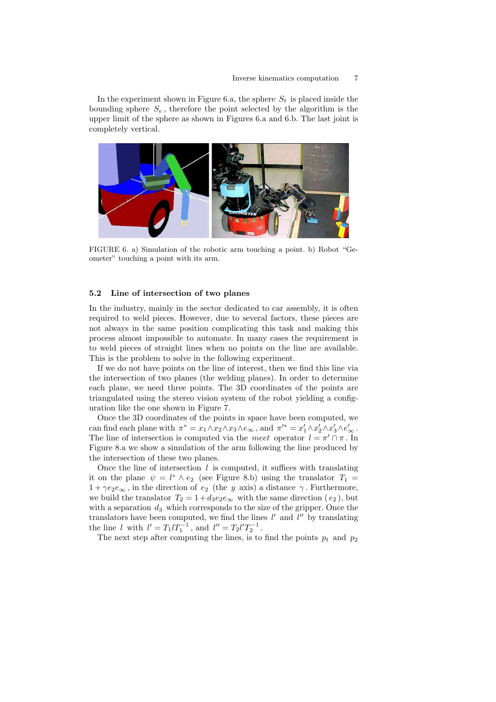In the experiment shown in Figure 6.a, the sphere  $S_t$  is placed inside the bounding sphere  $S_e$ , therefore the point selected by the algorithm is the upper limit of the sphere as shown in Figures 6.a and 6.b. The last joint is completely vertical.



FIGURE 6. a) Simulation of the robotic arm touching a point. b) Robot "Geometer" touching a point with its arm.

#### 5.2 Line of intersection of two planes

In the industry, mainly in the sector dedicated to car assembly, it is often required to weld pieces. However, due to several factors, these pieces are not always in the same position complicating this task and making this process almost impossible to automate. In many cases the requirement is to weld pieces of straight lines when no points on the line are available. This is the problem to solve in the following experiment.

If we do not have points on the line of interest, then we find this line via the intersection of two planes (the welding planes). In order to determine each plane, we need three points. The 3D coordinates of the points are triangulated using the stereo vision system of the robot yielding a configuration like the one shown in Figure 7.

Once the 3D coordinates of the points in space have been computed, we can find each plane with  $\pi^* = x_1 \wedge x_2 \wedge x_3 \wedge e_\infty$ , and  $\pi'^* = x'_1 \wedge x'_2 \wedge x'_3 \wedge e'_\infty$ . The line of intersection is computed via the meet operator  $l = \pi' \cap \pi$ . In Figure 8.a we show a simulation of the arm following the line produced by the intersection of these two planes.

Once the line of intersection  $l$  is computed, it suffices with translating it on the plane  $\psi = l^* \wedge e_2$  (see Figure 8.b) using the translator  $T_1 =$  $1 + \gamma e_2 e_{\infty}$ , in the direction of  $e_2$  (the y axis) a distance  $\gamma$ . Furthermore, we build the translator  $T_2 = 1 + d_3 e_2 e_\infty$  with the same direction  $(e_2)$ , but with a separation  $d_3$  which corresponds to the size of the gripper. Once the translators have been computed, we find the lines  $l'$  and  $l''$  by translating the line l with  $l' = T_1 l T_1^{-1}$ , and  $l'' = T_2 l' T_2^{-1}$ .

The next step after computing the lines, is to find the points  $p_t$  and  $p_2$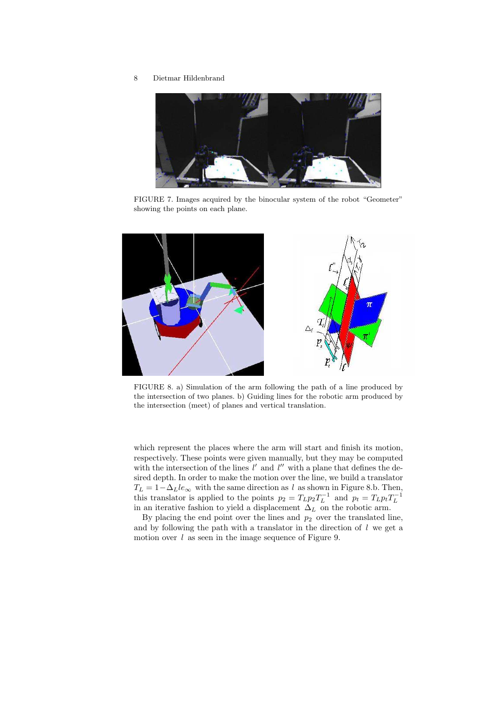

FIGURE 7. Images acquired by the binocular system of the robot "Geometer" showing the points on each plane.



FIGURE 8. a) Simulation of the arm following the path of a line produced by the intersection of two planes. b) Guiding lines for the robotic arm produced by the intersection (meet) of planes and vertical translation.

which represent the places where the arm will start and finish its motion, respectively. These points were given manually, but they may be computed with the intersection of the lines  $l'$  and  $l''$  with a plane that defines the desired depth. In order to make the motion over the line, we build a translator  $T_L = 1 - \Delta_L le_{\infty}$  with the same direction as l as shown in Figure 8.b. Then, this translator is applied to the points  $p_2 = T_L p_2 T_L^{-1}$  and  $p_t = T_L p_t T_L^{-1}$ <br>in an iterative fashion to yield a displacement  $\Delta_L$  on the robotic arm.

By placing the end point over the lines and  $p_2$  over the translated line, and by following the path with a translator in the direction of  $l$  we get a motion over  $l$  as seen in the image sequence of Figure 9.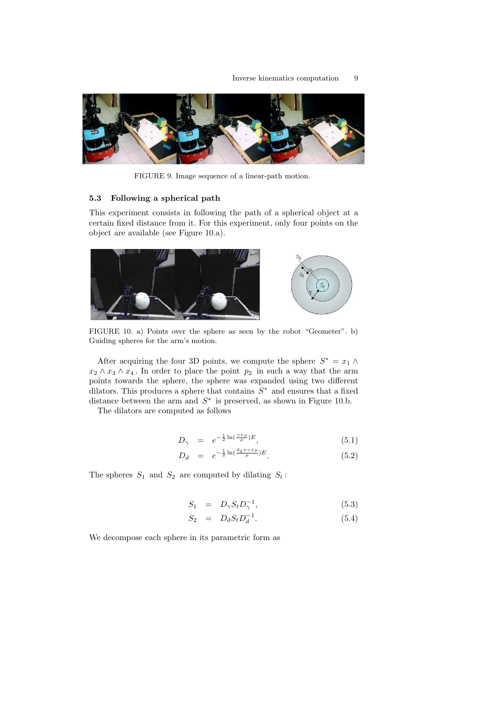

FIGURE 9. Image sequence of a linear-path motion.

### 5.3 Following a spherical path

This experiment consists in following the path of a spherical object at a certain fixed distance from it. For this experiment, only four points on the object are available (see Figure 10.a).



FIGURE 10. a) Points over the sphere as seen by the robot "Geometer". b) Guiding spheres for the arm's motion.

After acquiring the four 3D points, we compute the sphere  $S^* = x_1 \wedge$  $x_2 \wedge x_3 \wedge x_4$ . In order to place the point  $p_2$  in such a way that the arm points towards the sphere, the sphere was expanded using two different dilators. This produces a sphere that contains  $S^*$  and ensures that a fixed distance between the arm and  $S^*$  is preserved, as shown in Figure 10.b.

The dilators are computed as follows

$$
D_{\gamma} = e^{-\frac{1}{2}\ln\left(\frac{\gamma+\rho}{\rho}\right)E},\tag{5.1}
$$

$$
D_d = e^{-\frac{1}{2}\ln(\frac{d_3 + \gamma + \rho}{\rho})E}.
$$
\n(5.2)

The spheres  $S_1$  and  $S_2$  are computed by dilating  $S_t$ :

$$
S_1 = D_{\gamma} S_t D_{\gamma}^{-1}, \qquad (5.3)
$$

$$
S_2 = D_d S_t D_d^{-1}.
$$
\n(5.4)

We decompose each sphere in its parametric form as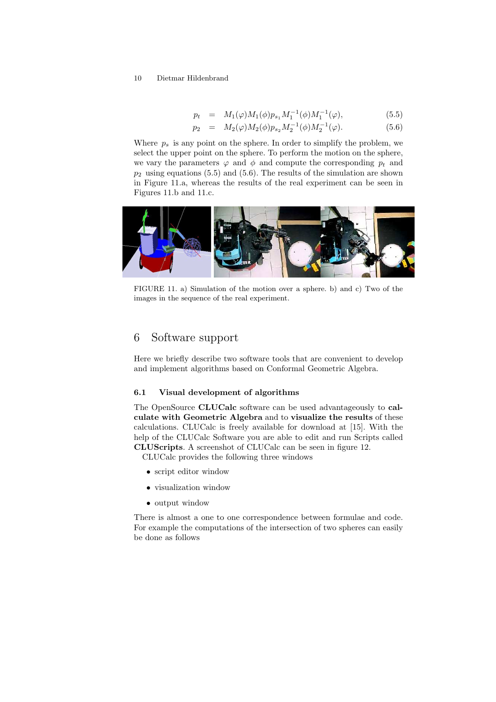$$
p_t = M_1(\varphi)M_1(\phi)p_{s_1}M_1^{-1}(\phi)M_1^{-1}(\varphi), \tag{5.5}
$$

$$
p_2 = M_2(\varphi)M_2(\phi)p_{s_2}M_2^{-1}(\phi)M_2^{-1}(\varphi).
$$
 (5.6)

Where  $p_s$  is any point on the sphere. In order to simplify the problem, we select the upper point on the sphere. To perform the motion on the sphere, we vary the parameters  $\varphi$  and  $\phi$  and compute the corresponding  $p_t$  and  $p_2$  using equations (5.5) and (5.6). The results of the simulation are shown in Figure 11.a, whereas the results of the real experiment can be seen in Figures 11.b and 11.c.



FIGURE 11. a) Simulation of the motion over a sphere. b) and c) Two of the images in the sequence of the real experiment.

### 6 Software support

Here we briefly describe two software tools that are convenient to develop and implement algorithms based on Conformal Geometric Algebra.

#### 6.1 Visual development of algorithms

The OpenSource CLUCalc software can be used advantageously to calculate with Geometric Algebra and to visualize the results of these calculations. CLUCalc is freely available for download at [15]. With the help of the CLUCalc Software you are able to edit and run Scripts called CLUScripts. A screenshot of CLUCalc can be seen in figure 12.

CLUCalc provides the following three windows

- script editor window
- visualization window
- output window

There is almost a one to one correspondence between formulae and code. For example the computations of the intersection of two spheres can easily be done as follows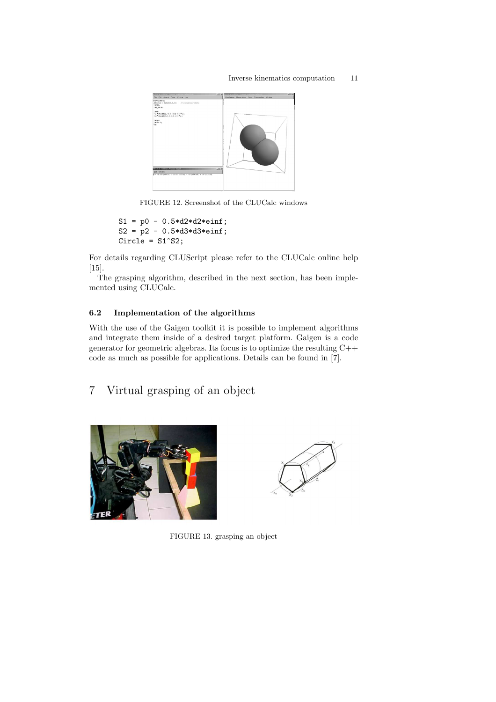### Inverse kinematics computation 11



FIGURE 12. Screenshot of the CLUCalc windows

```
S1 = p0 - 0.5 * d2 * d2 * einf;S2 = p2 - 0.5 * d3 * d3 * einf;Circle = S1^SS2;
```
For details regarding CLUScript please refer to the CLUCalc online help [15].

The grasping algorithm, described in the next section, has been implemented using CLUCalc.

### 6.2 Implementation of the algorithms

With the use of the Gaigen toolkit it is possible to implement algorithms and integrate them inside of a desired target platform. Gaigen is a code generator for geometric algebras. Its focus is to optimize the resulting C++ code as much as possible for applications. Details can be found in [7].

```
7 Virtual grasping of an object
```




FIGURE 13. grasping an object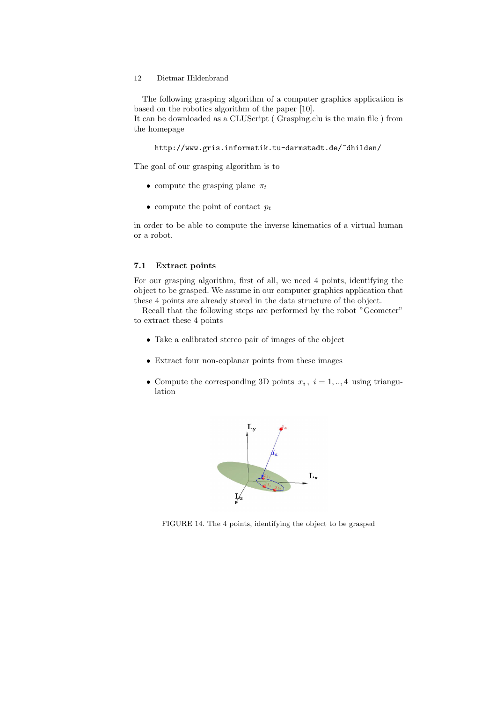the homepage

The following grasping algorithm of a computer graphics application is based on the robotics algorithm of the paper [10]. It can be downloaded as a CLUScript ( Grasping.clu is the main file ) from

http://www.gris.informatik.tu-darmstadt.de/~dhilden/

The goal of our grasping algorithm is to

- compute the grasping plane  $\pi_t$
- compute the point of contact  $p_t$

in order to be able to compute the inverse kinematics of a virtual human or a robot.

#### 7.1 Extract points

For our grasping algorithm, first of all, we need 4 points, identifying the object to be grasped. We assume in our computer graphics application that these 4 points are already stored in the data structure of the object.

Recall that the following steps are performed by the robot "Geometer" to extract these 4 points

- Take a calibrated stereo pair of images of the object
- Extract four non-coplanar points from these images
- Compute the corresponding 3D points  $x_i$ ,  $i = 1, \dots, 4$  using triangulation



FIGURE 14. The 4 points, identifying the object to be grasped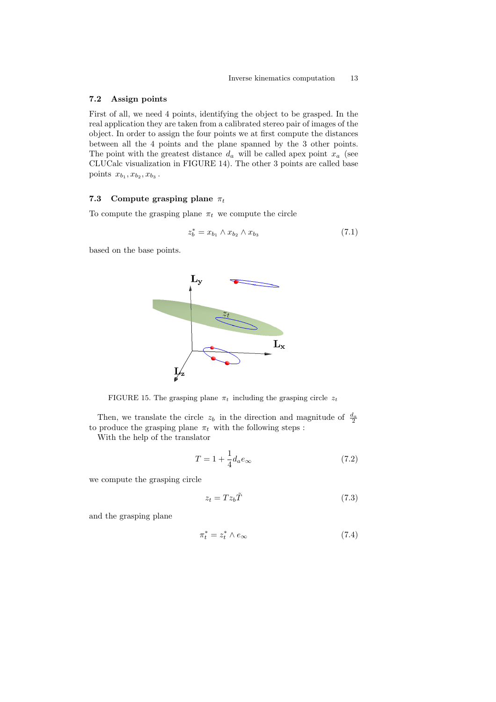### 7.2 Assign points

First of all, we need 4 points, identifying the object to be grasped. In the real application they are taken from a calibrated stereo pair of images of the object. In order to assign the four points we at first compute the distances between all the 4 points and the plane spanned by the 3 other points. The point with the greatest distance  $d_a$  will be called apex point  $x_a$  (see CLUCalc visualization in FIGURE 14). The other 3 points are called base points  $x_{b_1}, x_{b_2}, x_{b_3}$ .

### 7.3 Compute grasping plane  $\pi_t$

To compute the grasping plane  $\pi_t$  we compute the circle

$$
z_b^* = x_{b_1} \wedge x_{b_2} \wedge x_{b_3} \tag{7.1}
$$

based on the base points.



FIGURE 15. The grasping plane  $\pi_t$  including the grasping circle  $z_t$ 

Then, we translate the circle  $z_b$  in the direction and magnitude of  $\frac{d_a}{2}$ to produce the grasping plane  $\pi_t$  with the following steps :

With the help of the translator

$$
T = 1 + \frac{1}{4}d_a e_\infty \tag{7.2}
$$

we compute the grasping circle

$$
z_t = T z_b \tilde{T} \tag{7.3}
$$

and the grasping plane

$$
\pi_t^* = z_t^* \wedge e_\infty \tag{7.4}
$$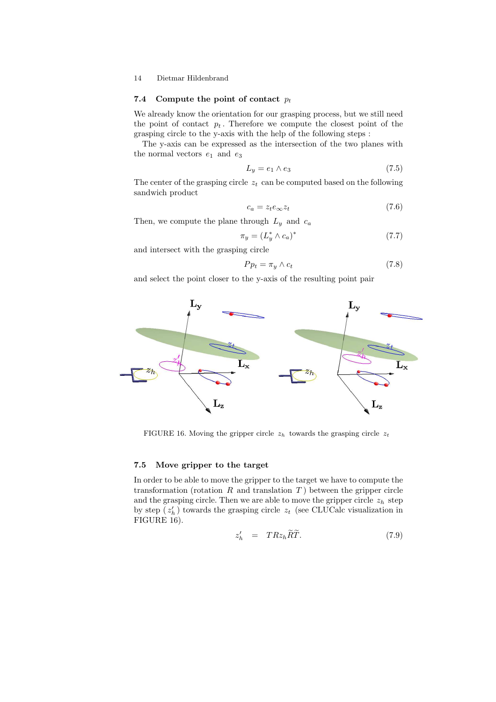### 7.4 Compute the point of contact  $p_t$

We already know the orientation for our grasping process, but we still need the point of contact  $p_t$ . Therefore we compute the closest point of the grasping circle to the y-axis with the help of the following steps :

The y-axis can be expressed as the intersection of the two planes with the normal vectors  $e_1$  and  $e_3$ 

$$
L_y = e_1 \wedge e_3 \tag{7.5}
$$

The center of the grasping circle  $z_t$  can be computed based on the following sandwich product

$$
c_a = z_t e_\infty z_t \tag{7.6}
$$

Then, we compute the plane through  $L_y$  and  $c_a$ 

$$
\pi_y = (L_y^* \wedge c_a)^* \tag{7.7}
$$

and intersect with the grasping circle

$$
P p_t = \pi_y \wedge c_t \tag{7.8}
$$

and select the point closer to the y-axis of the resulting point pair



FIGURE 16. Moving the gripper circle  $z_h$  towards the grasping circle  $z_t$ 

#### 7.5 Move gripper to the target

In order to be able to move the gripper to the target we have to compute the transformation (rotation  $R$  and translation  $T$ ) between the gripper circle and the grasping circle. Then we are able to move the gripper circle  $z<sub>h</sub>$  step by step  $(z'_h)$  towards the grasping circle  $z_t$  (see CLUCalc visualization in FIGURE 16).

$$
z'_{h} = TRz_{h}\widetilde{R}\widetilde{T}.
$$
\n(7.9)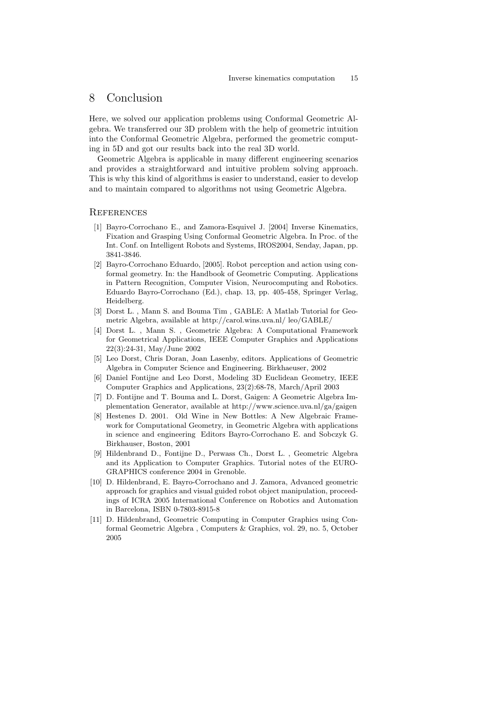### 8 Conclusion

Here, we solved our application problems using Conformal Geometric Algebra. We transferred our 3D problem with the help of geometric intuition into the Conformal Geometric Algebra, performed the geometric computing in 5D and got our results back into the real 3D world.

Geometric Algebra is applicable in many different engineering scenarios and provides a straightforward and intuitive problem solving approach. This is why this kind of algorithms is easier to understand, easier to develop and to maintain compared to algorithms not using Geometric Algebra.

#### **REFERENCES**

- [1] Bayro-Corrochano E., and Zamora-Esquivel J. [2004] Inverse Kinematics, Fixation and Grasping Using Conformal Geometric Algebra. In Proc. of the Int. Conf. on Intelligent Robots and Systems, IROS2004, Senday, Japan, pp. 3841-3846.
- [2] Bayro-Corrochano Eduardo, [2005]. Robot perception and action using conformal geometry. In: the Handbook of Geometric Computing. Applications in Pattern Recognition, Computer Vision, Neurocomputing and Robotics. Eduardo Bayro-Corrochano (Ed.), chap. 13, pp. 405-458, Springer Verlag, Heidelberg.
- [3] Dorst L. , Mann S. and Bouma Tim , GABLE: A Matlab Tutorial for Geometric Algebra, available at http://carol.wins.uva.nl/ leo/GABLE/
- [4] Dorst L. , Mann S. , Geometric Algebra: A Computational Framework for Geometrical Applications, IEEE Computer Graphics and Applications 22(3):24-31, May/June 2002
- [5] Leo Dorst, Chris Doran, Joan Lasenby, editors. Applications of Geometric Algebra in Computer Science and Engineering. Birkhaeuser, 2002
- [6] Daniel Fontijne and Leo Dorst, Modeling 3D Euclidean Geometry, IEEE Computer Graphics and Applications, 23(2):68-78, March/April 2003
- [7] D. Fontijne and T. Bouma and L. Dorst, Gaigen: A Geometric Algebra Implementation Generator, available at http://www.science.uva.nl/ga/gaigen
- [8] Hestenes D. 2001. Old Wine in New Bottles: A New Algebraic Framework for Computational Geometry, in Geometric Algebra with applications in science and engineering Editors Bayro-Corrochano E. and Sobczyk G. Birkhauser, Boston, 2001
- [9] Hildenbrand D., Fontijne D., Perwass Ch., Dorst L. , Geometric Algebra and its Application to Computer Graphics. Tutorial notes of the EURO-GRAPHICS conference 2004 in Grenoble.
- [10] D. Hildenbrand, E. Bayro-Corrochano and J. Zamora, Advanced geometric approach for graphics and visual guided robot object manipulation, proceedings of ICRA 2005 International Conference on Robotics and Automation in Barcelona, ISBN 0-7803-8915-8
- [11] D. Hildenbrand, Geometric Computing in Computer Graphics using Conformal Geometric Algebra , Computers & Graphics, vol. 29, no. 5, October 2005